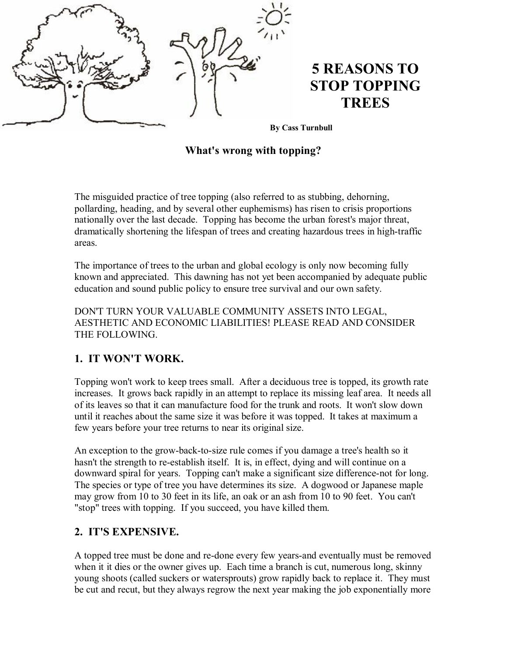

**By Cass Turnbull**

#### **What's wrong with topping?**

The misguided practice of tree topping (also referred to as stubbing, dehorning, pollarding, heading, and by several other euphemisms) has risen to crisis proportions nationally over the last decade. Topping has become the urban forest's major threat, dramatically shortening the lifespan of trees and creating hazardous trees in high-traffic areas.

The importance of trees to the urban and global ecology is only now becoming fully known and appreciated. This dawning has not yet been accompanied by adequate public education and sound public policy to ensure tree survival and our own safety.

DON'T TURN YOUR VALUABLE COMMUNITY ASSETS INTO LEGAL, AESTHETIC AND ECONOMIC LIABILITIES! PLEASE READ AND CONSIDER THE FOLLOWING.

## **1. IT WON'T WORK.**

Topping won't work to keep trees small. After a deciduous tree is topped, its growth rate increases. It grows back rapidly in an attempt to replace its missing leaf area. It needs all of its leaves so that it can manufacture food for the trunk and roots. It won't slow down until it reaches about the same size it was before it was topped. It takes at maximum a few years before your tree returns to near its original size.

An exception to the grow-back-to-size rule comes if you damage a tree's health so it hasn't the strength to re-establish itself. It is, in effect, dying and will continue on a downward spiral for years. Topping can't make a significant size difference-not for long. The species or type of tree you have determines its size. A dogwood or Japanese maple may grow from 10 to 30 feet in its life, an oak or an ash from 10 to 90 feet. You can't "stop" trees with topping. If you succeed, you have killed them.

## **2. IT'S EXPENSIVE.**

A topped tree must be done and re-done every few years-and eventually must be removed when it it dies or the owner gives up. Each time a branch is cut, numerous long, skinny young shoots (called suckers or watersprouts) grow rapidly back to replace it. They must be cut and recut, but they always regrow the next year making the job exponentially more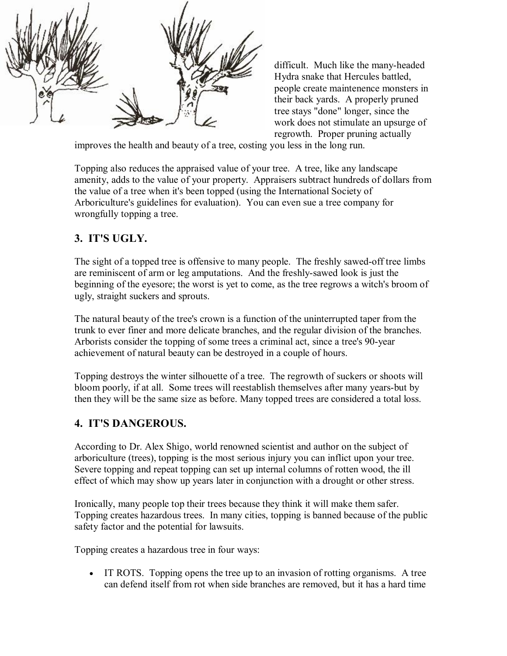

difficult. Much like the many-headed Hydra snake that Hercules battled, people create maintenence monsters in their back yards. A properly pruned tree stays "done" longer, since the work does not stimulate an upsurge of regrowth. Proper pruning actually

improves the health and beauty of a tree, costing you less in the long run.

Topping also reduces the appraised value of your tree. A tree, like any landscape amenity, adds to the value of your property. Appraisers subtract hundreds of dollars from the value of a tree when it's been topped (using the International Society of Arboriculture's guidelines for evaluation). You can even sue a tree company for wrongfully topping a tree.

## **3. IT'S UGLY.**

The sight of a topped tree is offensive to many people. The freshly sawed-off tree limbs are reminiscent of arm or leg amputations. And the freshly-sawed look is just the beginning of the eyesore; the worst is yet to come, as the tree regrows a witch's broom of ugly, straight suckers and sprouts.

The natural beauty of the tree's crown is a function of the uninterrupted taper from the trunk to ever finer and more delicate branches, and the regular division of the branches. Arborists consider the topping of some trees a criminal act, since a tree's 90-year achievement of natural beauty can be destroyed in a couple of hours.

Topping destroys the winter silhouette of a tree. The regrowth of suckers or shoots will bloom poorly, if at all. Some trees will reestablish themselves after many years-but by then they will be the same size as before. Many topped trees are considered a total loss.

## **4. IT'S DANGEROUS.**

According to Dr. Alex Shigo, world renowned scientist and author on the subject of arboriculture (trees), topping is the most serious injury you can inflict upon your tree. Severe topping and repeat topping can set up internal columns of rotten wood, the ill effect of which may show up years later in conjunction with a drought or other stress.

Ironically, many people top their trees because they think it will make them safer. Topping creates hazardous trees. In many cities, topping is banned because of the public safety factor and the potential for lawsuits.

Topping creates a hazardous tree in four ways:

· IT ROTS. Topping opens the tree up to an invasion of rotting organisms. A tree can defend itself from rot when side branches are removed, but it has a hard time